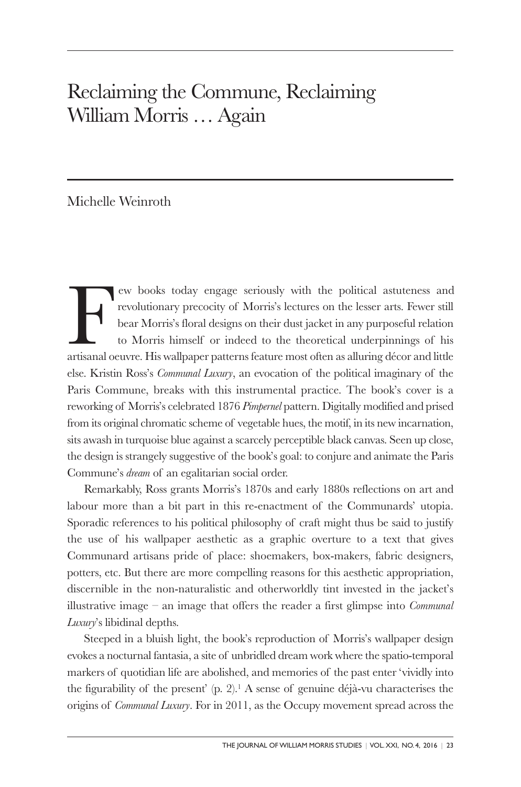## Reclaiming the Commune, Reclaiming William Morris … Again

Michelle Weinroth

Few books today engage seriously with the political astuteness and revolutionary precocity of Morris's lectures on the lesser arts. Fewer still bear Morris's floral designs on their dust jacket in any purposeful relation to Morris himself or indeed to the theoretical underpinnings of his artisanal oeuvre. His wallpaper patterns feature most often as alluring décor and little else. Kristin Ross's *Communal Luxury*, an evocation of the political imaginary of the Paris Commune, breaks with this instrumental practice. The book's cover is a reworking of Morris's celebrated 1876 *Pimpernel* pattern. Digitally modified and prised from its original chromatic scheme of vegetable hues, the motif, in its new incarnation, sits awash in turquoise blue against a scarcely perceptible black canvas. Seen up close, the design is strangely suggestive of the book's goal: to conjure and animate the Paris Commune's *dream* of an egalitarian social order.

Remarkably, Ross grants Morris's 1870s and early 1880s reflections on art and labour more than a bit part in this re-enactment of the Communards' utopia. Sporadic references to his political philosophy of craft might thus be said to justify the use of his wallpaper aesthetic as a graphic overture to a text that gives Communard artisans pride of place: shoemakers, box-makers, fabric designers, potters, etc. But there are more compelling reasons for this aesthetic appropriation, discernible in the non-naturalistic and otherworldly tint invested in the jacket's illustrative image – an image that offers the reader a first glimpse into *Communal Luxury*'s libidinal depths.

Steeped in a bluish light, the book's reproduction of Morris's wallpaper design evokes a nocturnal fantasia, a site of unbridled dream work where the spatio-temporal markers of quotidian life are abolished, and memories of the past enter 'vividly into the figurability of the present' (p. 2). <sup>1</sup> A sense of genuine déjà-vu characterises the origins of *Communal Luxury*. For in 2011, as the Occupy movement spread across the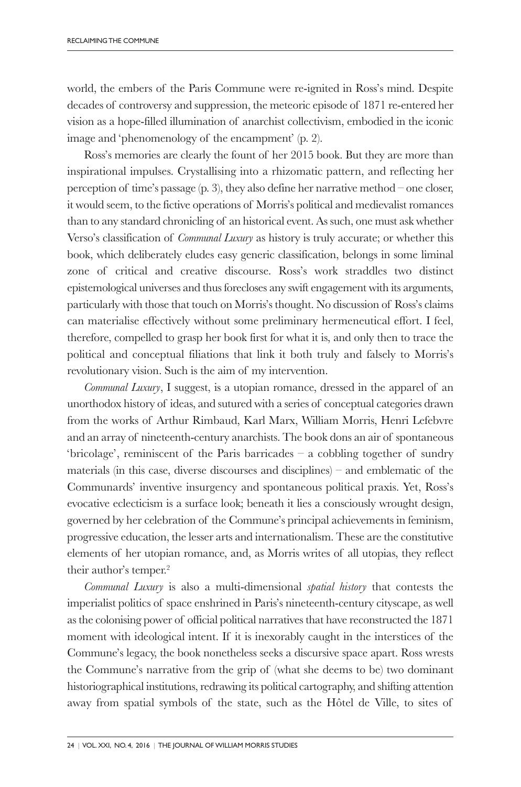world, the embers of the Paris Commune were re-ignited in Ross's mind. Despite decades of controversy and suppression, the meteoric episode of 1871 re-entered her vision as a hope-filled illumination of anarchist collectivism, embodied in the iconic image and 'phenomenology of the encampment' (p. 2).

Ross's memories are clearly the fount of her 2015 book. But they are more than inspirational impulses. Crystallising into a rhizomatic pattern, and reflecting her perception of time's passage (p. 3), they also define her narrative method – one closer, it would seem, to the fictive operations of Morris's political and medievalist romances than to any standard chronicling of an historical event. As such, one must ask whether Verso's classification of *Communal Luxury* as history is truly accurate; or whether this book, which deliberately eludes easy generic classification, belongs in some liminal zone of critical and creative discourse. Ross's work straddles two distinct epistemological universes and thus forecloses any swift engagement with its arguments, particularly with those that touch on Morris's thought. No discussion of Ross's claims can materialise effectively without some preliminary hermeneutical effort. I feel, therefore, compelled to grasp her book first for what it is, and only then to trace the political and conceptual filiations that link it both truly and falsely to Morris's revolutionary vision. Such is the aim of my intervention.

*Communal Luxury*, I suggest, is a utopian romance, dressed in the apparel of an unorthodox history of ideas, and sutured with a series of conceptual categories drawn from the works of Arthur Rimbaud, Karl Marx, William Morris, Henri Lefebvre and an array of nineteenth-century anarchists. The book dons an air of spontaneous 'bricolage', reminiscent of the Paris barricades – a cobbling together of sundry materials (in this case, diverse discourses and disciplines) – and emblematic of the Communards' inventive insurgency and spontaneous political praxis. Yet, Ross's evocative eclecticism is a surface look; beneath it lies a consciously wrought design, governed by her celebration of the Commune's principal achievements in feminism, progressive education, the lesser arts and internationalism. These are the constitutive elements of her utopian romance, and, as Morris writes of all utopias, they reflect their author's temper. 2

*Communal Luxury* is also a multi-dimensional *spatial history* that contests the imperialist politics of space enshrined in Paris's nineteenth-century cityscape, as well as the colonising power of official political narratives that have reconstructed the 1871 moment with ideological intent. If it is inexorably caught in the interstices of the Commune's legacy, the book nonetheless seeks a discursive space apart. Ross wrests the Commune's narrative from the grip of (what she deems to be) two dominant historiographical institutions, redrawing its political cartography, and shifting attention away from spatial symbols of the state, such as the Hôtel de Ville, to sites of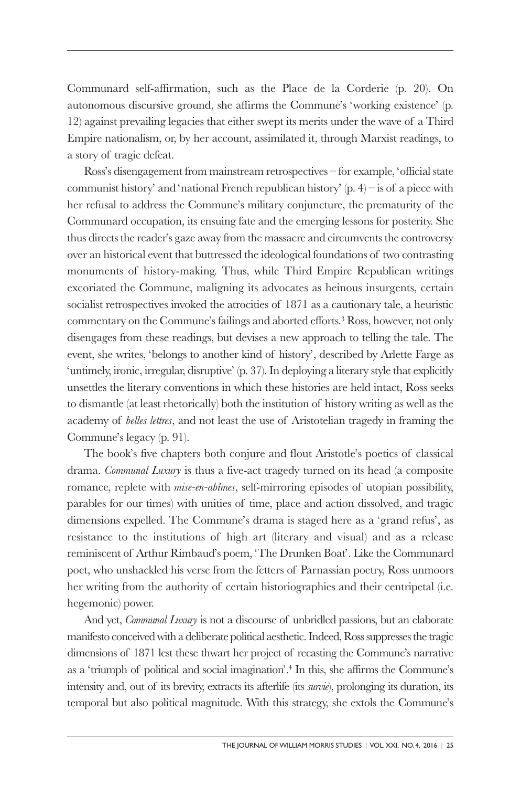Communard self-affirmation, such as the Place de la Corderie (p. 20). On autonomous discursive ground, she affirms the Commune's 'working existence' (p. 12) against prevailing legacies that either swept its merits under the wave of a Third Empire nationalism, or, by her account, assimilated it, through Marxist readings, to a story of tragic defeat.

Ross's disengagement from mainstream retrospectives – for example, 'official state communist history' and 'national French republican history'  $(p, 4)$  – is of a piece with her refusal to address the Commune's military conjuncture, the prematurity of the Communard occupation, its ensuing fate and the emerging lessons for posterity. She thus directs the reader's gaze away from the massacre and circumvents the controversy over an historical event that buttressed the ideological foundations of two contrasting monuments of history-making. Thus, while Third Empire Republican writings excoriated the Commune, maligning its advocates as heinous insurgents, certain socialist retrospectives invoked the atrocities of 1871 as a cautionary tale, a heuristic commentary on the Commune's failings and aborted efforts. <sup>3</sup> Ross, however, not only disengages from these readings, but devises a new approach to telling the tale. The event, she writes, 'belongs to another kind of history', described by Arlette Farge as 'untimely, ironic, irregular, disruptive' (p. 37). In deploying a literary style that explicitly unsettles the literary conventions in which these histories are held intact, Ross seeks to dismantle (at least rhetorically) both the institution of history writing as well as the academy of *belles lettres*, and not least the use of Aristotelian tragedy in framing the Commune's legacy (p. 91).

The book's five chapters both conjure and flout Aristotle's poetics of classical drama. *Communal Luxury* is thus a five-act tragedy turned on its head (a composite romance, replete with *mise-en-abîmes*, self-mirroring episodes of utopian possibility, parables for our times) with unities of time, place and action dissolved, and tragic dimensions expelled. The Commune's drama is staged here as a 'grand refus', as resistance to the institutions of high art (literary and visual) and as a release reminiscent of Arthur Rimbaud's poem, 'The Drunken Boat'. Like the Communard poet, who unshackled his verse from the fetters of Parnassian poetry, Ross unmoors her writing from the authority of certain historiographies and their centripetal (i.e. hegemonic) power.

And yet, *Communal Luxury* is not a discourse of unbridled passions, but an elaborate manifesto conceivedwith a deliberate political aesthetic.Indeed, Rosssuppressesthe tragic dimensions of 1871 lest these thwart her project of recasting the Commune's narrative as a 'triumph of political and social imagination'. <sup>4</sup> In this, she affirms the Commune's intensity and, out of its brevity, extracts its afterlife (its *survie*), prolonging its duration, its temporal but also political magnitude. With this strategy, she extols the Commune's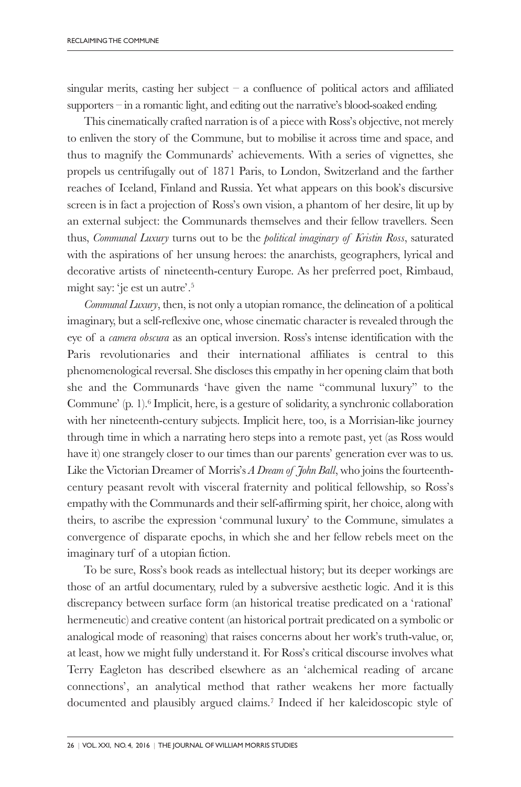singular merits, casting her subject  $-$  a confluence of political actors and affiliated supporters – in a romantic light, and editing out the narrative's blood-soaked ending.

This cinematically crafted narration is of a piece with Ross's objective, not merely to enliven the story of the Commune, but to mobilise it across time and space, and thus to magnify the Communards' achievements. With a series of vignettes, she propels us centrifugally out of 1871 Paris, to London, Switzerland and the farther reaches of Iceland, Finland and Russia. Yet what appears on this book's discursive screen is in fact a projection of Ross's own vision, a phantom of her desire, lit up by an external subject: the Communards themselves and their fellow travellers. Seen thus, *Communal Luxury* turns out to be the *political imaginary of Kristin Ross*, saturated with the aspirations of her unsung heroes: the anarchists, geographers, lyrical and decorative artists of nineteenth-century Europe. As her preferred poet, Rimbaud, might say: 'je est un autre'. 5

*Communal Luxury*, then, is not only a utopian romance, the delineation of a political imaginary, but a self-reflexive one, whose cinematic character is revealed through the eye of a *camera obscura* as an optical inversion. Ross's intense identification with the Paris revolutionaries and their international affiliates is central to this phenomenological reversal. She discloses this empathy in her opening claim that both she and the Communards 'have given the name "communal luxury" to the Commune' (p. 1). <sup>6</sup> Implicit, here, is a gesture of solidarity, a synchronic collaboration with her nineteenth-century subjects. Implicit here, too, is a Morrisian-like journey through time in which a narrating hero steps into a remote past, yet (as Ross would have it) one strangely closer to our times than our parents' generation ever was to us. Like the Victorian Dreamer of Morris's *A Dream of John Ball*, who joins the fourteenthcentury peasant revolt with visceral fraternity and political fellowship, so Ross's empathy with the Communards and their self-affirming spirit, her choice, along with theirs, to ascribe the expression 'communal luxury' to the Commune, simulates a convergence of disparate epochs, in which she and her fellow rebels meet on the imaginary turf of a utopian fiction.

To be sure, Ross's book reads as intellectual history; but its deeper workings are those of an artful documentary, ruled by a subversive aesthetic logic. And it is this discrepancy between surface form (an historical treatise predicated on a 'rational' hermeneutic) and creative content (an historical portrait predicated on a symbolic or analogical mode of reasoning) that raises concerns about her work's truth-value, or, at least, how we might fully understand it. For Ross's critical discourse involves what Terry Eagleton has described elsewhere as an 'alchemical reading of arcane connections', an analytical method that rather weakens her more factually documented and plausibly argued claims. <sup>7</sup> Indeed if her kaleidoscopic style of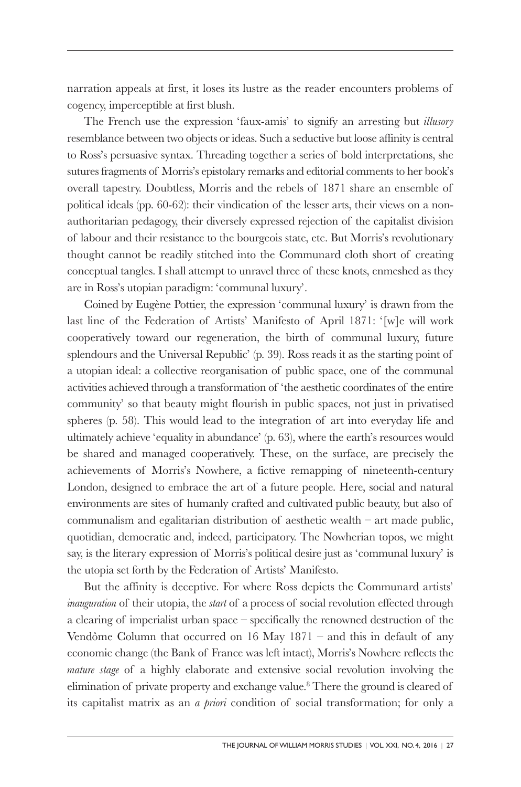narration appeals at first, it loses its lustre as the reader encounters problems of cogency, imperceptible at first blush.

The French use the expression 'faux-amis' to signify an arresting but *illusory* resemblance between two objects or ideas. Such a seductive but loose affinity is central to Ross's persuasive syntax. Threading together a series of bold interpretations, she sutures fragments of Morris's epistolary remarks and editorial comments to her book's overall tapestry. Doubtless, Morris and the rebels of 1871 share an ensemble of political ideals (pp. 60-62): their vindication of the lesser arts, their views on a nonauthoritarian pedagogy, their diversely expressed rejection of the capitalist division of labour and their resistance to the bourgeois state, etc. But Morris's revolutionary thought cannot be readily stitched into the Communard cloth short of creating conceptual tangles. I shall attempt to unravel three of these knots, enmeshed as they are in Ross's utopian paradigm: 'communal luxury'.

Coined by Eugène Pottier, the expression 'communal luxury' is drawn from the last line of the Federation of Artists' Manifesto of April 1871: '[w]e will work cooperatively toward our regeneration, the birth of communal luxury, future splendours and the Universal Republic' (p. 39). Ross reads it as the starting point of a utopian ideal: a collective reorganisation of public space, one of the communal activities achieved through a transformation of 'the aesthetic coordinates of the entire community' so that beauty might flourish in public spaces, not just in privatised spheres (p. 58). This would lead to the integration of art into everyday life and ultimately achieve 'equality in abundance' (p. 63), where the earth's resources would be shared and managed cooperatively. These, on the surface, are precisely the achievements of Morris's Nowhere, a fictive remapping of nineteenth-century London, designed to embrace the art of a future people. Here, social and natural environments are sites of humanly crafted and cultivated public beauty, but also of communalism and egalitarian distribution of aesthetic wealth – art made public, quotidian, democratic and, indeed, participatory. The Nowherian topos, we might say, is the literary expression of Morris's political desire just as 'communal luxury' is the utopia set forth by the Federation of Artists' Manifesto.

But the affinity is deceptive. For where Ross depicts the Communard artists' *inauguration* of their utopia, the *start* of a process of social revolution effected through a clearing of imperialist urban space – specifically the renowned destruction of the Vendôme Column that occurred on 16 May 1871 – and this in default of any economic change (the Bank of France was left intact), Morris's Nowhere reflects the *mature stage* of a highly elaborate and extensive social revolution involving the elimination of private property and exchange value. <sup>8</sup> There the ground is cleared of its capitalist matrix as an *a priori* condition of social transformation; for only a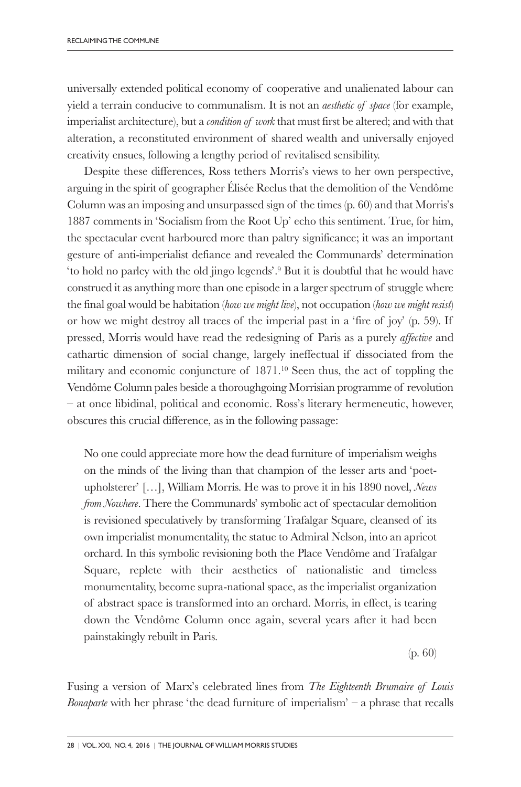universally extended political economy of cooperative and unalienated labour can yield a terrain conducive to communalism. It is not an *aesthetic of space* (for example, imperialist architecture), but a *condition of work*that must first be altered; and with that alteration, a reconstituted environment of shared wealth and universally enjoyed creativity ensues, following a lengthy period of revitalised sensibility.

Despite these differences, Ross tethers Morris's views to her own perspective, arguing in the spirit of geographer Élisée Reclus that the demolition of the Vendôme Column was an imposing and unsurpassed sign of the times (p. 60) and that Morris's 1887 comments in 'Socialism from the Root Up' echo this sentiment. True, for him, the spectacular event harboured more than paltry significance; it was an important gesture of anti-imperialist defiance and revealed the Communards' determination 'to hold no parley with the old jingo legends'. <sup>9</sup> But it is doubtful that he would have construed it as anything more than one episode in a larger spectrum of struggle where the final goal would be habitation (*how we might live*), not occupation (*how we might resist*) or how we might destroy all traces of the imperial past in a 'fire of joy' (p. 59). If pressed, Morris would have read the redesigning of Paris as a purely *affective* and cathartic dimension of social change, largely ineffectual if dissociated from the military and economic conjuncture of 1871. <sup>10</sup> Seen thus, the act of toppling the Vendôme Column pales beside a thoroughgoing Morrisian programme of revolution – at once libidinal, political and economic. Ross's literary hermeneutic, however, obscures this crucial difference, as in the following passage:

No one could appreciate more how the dead furniture of imperialism weighs on the minds of the living than that champion of the lesser arts and 'poetupholsterer' […], William Morris. He was to prove it in his 1890 novel, *News from Nowhere*. There the Communards' symbolic act of spectacular demolition is revisioned speculatively by transforming Trafalgar Square, cleansed of its own imperialist monumentality, the statue to Admiral Nelson, into an apricot orchard. In this symbolic revisioning both the Place Vendôme and Trafalgar Square, replete with their aesthetics of nationalistic and timeless monumentality, become supra-national space, as the imperialist organization of abstract space is transformed into an orchard. Morris, in effect, is tearing down the Vendôme Column once again, several years after it had been painstakingly rebuilt in Paris.

(p. 60)

Fusing a version of Marx's celebrated lines from *The Eighteenth Brumaire of Louis Bonaparte* with her phrase 'the dead furniture of imperialism' – a phrase that recalls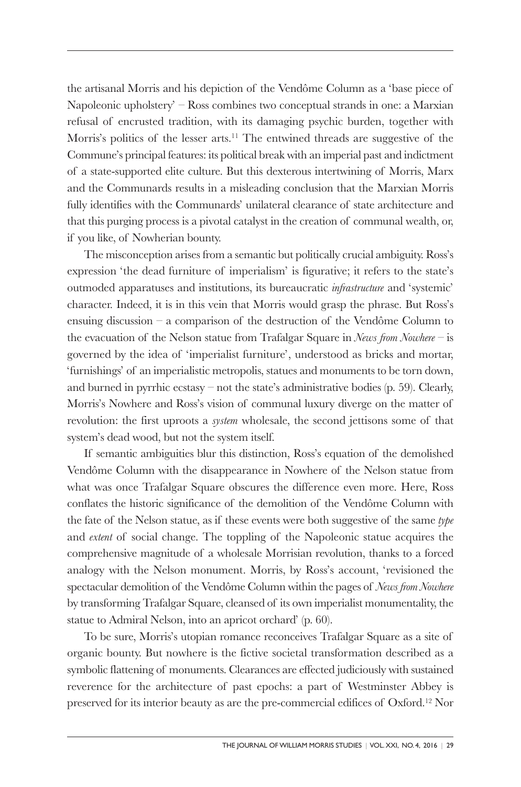the artisanal Morris and his depiction of the Vendôme Column as a 'base piece of Napoleonic upholstery' – Ross combines two conceptual strands in one: a Marxian refusal of encrusted tradition, with its damaging psychic burden, together with Morris's politics of the lesser arts. <sup>11</sup> The entwined threads are suggestive of the Commune's principal features: its political break with an imperial past and indictment of a state-supported elite culture. But this dexterous intertwining of Morris, Marx and the Communards results in a misleading conclusion that the Marxian Morris fully identifies with the Communards' unilateral clearance of state architecture and that this purging process is a pivotal catalyst in the creation of communal wealth, or, if you like, of Nowherian bounty.

The misconception arises from a semantic but politically crucial ambiguity. Ross's expression 'the dead furniture of imperialism' is figurative; it refers to the state's outmoded apparatuses and institutions, its bureaucratic *infrastructure* and 'systemic' character. Indeed, it is in this vein that Morris would grasp the phrase. But Ross's ensuing discussion – a comparison of the destruction of the Vendôme Column to the evacuation of the Nelson statue from Trafalgar Square in *News from Nowhere* – is governed by the idea of 'imperialist furniture', understood as bricks and mortar, 'furnishings' of an imperialistic metropolis, statues and monuments to be torn down, and burned in pyrrhic ecstasy – not the state's administrative bodies (p. 59). Clearly, Morris's Nowhere and Ross's vision of communal luxury diverge on the matter of revolution: the first uproots a *system* wholesale, the second jettisons some of that system's dead wood, but not the system itself.

If semantic ambiguities blur this distinction, Ross's equation of the demolished Vendôme Column with the disappearance in Nowhere of the Nelson statue from what was once Trafalgar Square obscures the difference even more. Here, Ross conflates the historic significance of the demolition of the Vendôme Column with the fate of the Nelson statue, as if these events were both suggestive of the same *type* and *extent* of social change. The toppling of the Napoleonic statue acquires the comprehensive magnitude of a wholesale Morrisian revolution, thanks to a forced analogy with the Nelson monument. Morris, by Ross's account, 'revisioned the spectacular demolition of the Vendôme Column within the pages of *News from Nowhere* by transforming Trafalgar Square, cleansed of its own imperialist monumentality, the statue to Admiral Nelson, into an apricot orchard' (p. 60).

To be sure, Morris's utopian romance reconceives Trafalgar Square as a site of organic bounty. But nowhere is the fictive societal transformation described as a symbolic flattening of monuments. Clearances are effected judiciously with sustained reverence for the architecture of past epochs: a part of Westminster Abbey is preserved for its interior beauty as are the pre-commercial edifices of Oxford. <sup>12</sup> Nor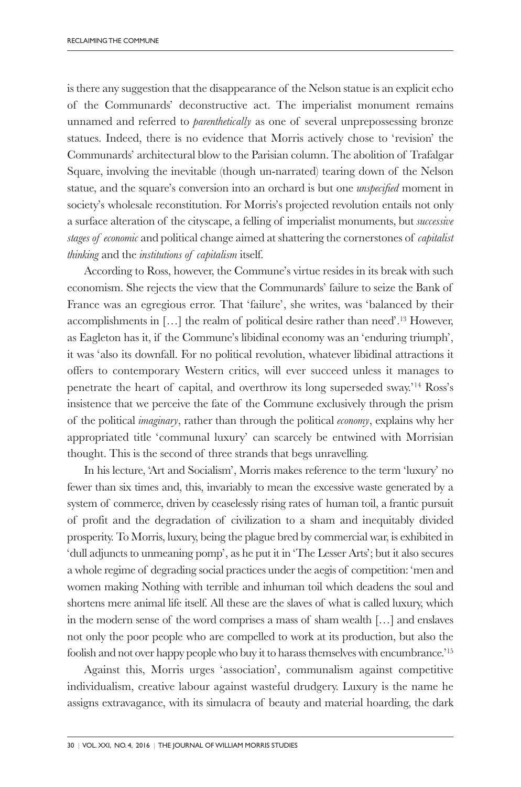is there any suggestion that the disappearance of the Nelson statue is an explicit echo of the Communards' deconstructive act. The imperialist monument remains unnamed and referred to *parenthetically* as one of several unprepossessing bronze statues. Indeed, there is no evidence that Morris actively chose to 'revision' the Communards' architectural blow to the Parisian column. The abolition of Trafalgar Square, involving the inevitable (though un-narrated) tearing down of the Nelson statue, and the square's conversion into an orchard is but one *unspecified* moment in society's wholesale reconstitution. For Morris's projected revolution entails not only a surface alteration of the cityscape, a felling of imperialist monuments, but *successive stages of economic* and political change aimed at shattering the cornerstones of *capitalist thinking* and the *institutions of capitalism* itself.

According to Ross, however, the Commune's virtue resides in its break with such economism. She rejects the view that the Communards' failure to seize the Bank of France was an egregious error. That 'failure', she writes, was 'balanced by their accomplishments in […] the realm of political desire rather than need'. <sup>13</sup> However, as Eagleton has it, if the Commune's libidinal economy was an 'enduring triumph', it was 'also its downfall. For no political revolution, whatever libidinal attractions it offers to contemporary Western critics, will ever succeed unless it manages to penetrate the heart of capital, and overthrow its long superseded sway.' <sup>14</sup> Ross's insistence that we perceive the fate of the Commune exclusively through the prism of the political *imaginary*, rather than through the political *economy*, explains why her appropriated title 'communal luxury' can scarcely be entwined with Morrisian thought. This is the second of three strands that begs unravelling.

In his lecture, 'Art and Socialism', Morris makes reference to the term 'luxury' no fewer than six times and, this, invariably to mean the excessive waste generated by a system of commerce, driven by ceaselessly rising rates of human toil, a frantic pursuit of profit and the degradation of civilization to a sham and inequitably divided prosperity. To Morris, luxury, being the plague bred by commercial war, is exhibited in 'dull adjuncts to unmeaning pomp', as he put it in 'The Lesser Arts'; but it also secures a whole regime of degrading social practices underthe aegis of competition: 'men and women making Nothing with terrible and inhuman toil which deadens the soul and shortens mere animal life itself. All these are the slaves of what is called luxury, which in the modern sense of the word comprises a mass of sham wealth […] and enslaves not only the poor people who are compelled to work at its production, but also the foolish and not over happy peoplewho buy it to harass themselveswith encumbrance.' 15

Against this, Morris urges 'association', communalism against competitive individualism, creative labour against wasteful drudgery. Luxury is the name he assigns extravagance, with its simulacra of beauty and material hoarding, the dark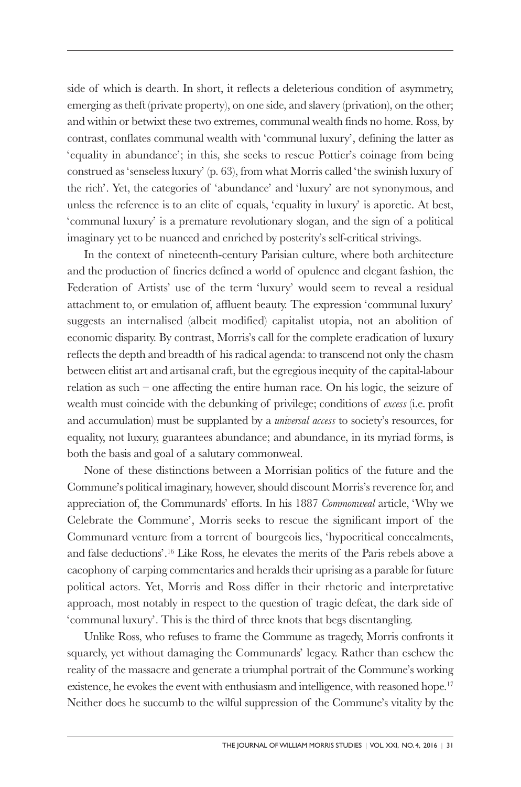side of which is dearth. In short, it reflects a deleterious condition of asymmetry, emerging as theft (private property), on one side, and slavery (privation), on the other; and within or betwixt these two extremes, communal wealth finds no home. Ross, by contrast, conflates communal wealth with 'communal luxury', defining the latter as 'equality in abundance'; in this, she seeks to rescue Pottier's coinage from being construed as 'senseless luxury' (p. 63), from what Morris called 'the swinish luxury of the rich'. Yet, the categories of 'abundance' and 'luxury' are not synonymous, and unless the reference is to an elite of equals, 'equality in luxury' is aporetic. At best, 'communal luxury' is a premature revolutionary slogan, and the sign of a political imaginary yet to be nuanced and enriched by posterity's self-critical strivings.

In the context of nineteenth-century Parisian culture, where both architecture and the production of fineries defined a world of opulence and elegant fashion, the Federation of Artists' use of the term 'luxury' would seem to reveal a residual attachment to, or emulation of, affluent beauty. The expression 'communal luxury' suggests an internalised (albeit modified) capitalist utopia, not an abolition of economic disparity. By contrast, Morris's call for the complete eradication of luxury reflects the depth and breadth of his radical agenda: to transcend not only the chasm between elitist art and artisanal craft, but the egregious inequity of the capital-labour relation as such – one affecting the entire human race. On his logic, the seizure of wealth must coincide with the debunking of privilege; conditions of *excess* (i.e. profit and accumulation) must be supplanted by a *universal access* to society's resources, for equality, not luxury, guarantees abundance; and abundance, in its myriad forms, is both the basis and goal of a salutary commonweal.

None of these distinctions between a Morrisian politics of the future and the Commune's political imaginary, however, should discount Morris's reverence for, and appreciation of, the Communards' efforts. In his 1887 *Commonweal* article, 'Why we Celebrate the Commune', Morris seeks to rescue the significant import of the Communard venture from a torrent of bourgeois lies, 'hypocritical concealments, and false deductions'. <sup>16</sup> Like Ross, he elevates the merits of the Paris rebels above a cacophony of carping commentaries and heralds their uprising as a parable for future political actors. Yet, Morris and Ross differ in their rhetoric and interpretative approach, most notably in respect to the question of tragic defeat, the dark side of 'communal luxury'. This is the third of three knots that begs disentangling.

Unlike Ross, who refuses to frame the Commune as tragedy, Morris confronts it squarely, yet without damaging the Communards' legacy. Rather than eschew the reality of the massacre and generate a triumphal portrait of the Commune's working existence, he evokes the event with enthusiasm and intelligence, with reasoned hope.<sup>17</sup> Neither does he succumb to the wilful suppression of the Commune's vitality by the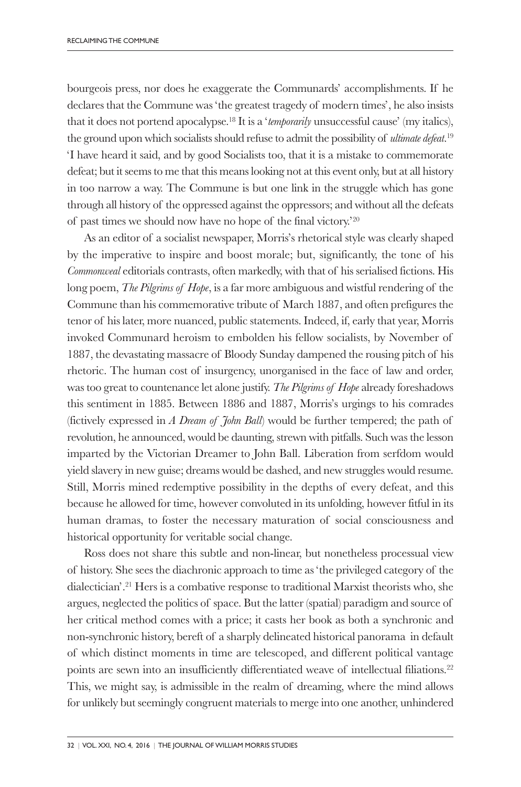bourgeois press, nor does he exaggerate the Communards' accomplishments. If he declares that the Commune was 'the greatest tragedy of modern times', he also insists that it does not portend apocalypse. <sup>18</sup> It is a '*temporarily* unsuccessful cause' (my italics), the ground upon which socialists should refuse to admit the possibility of *ultimate defeat*. 19 'I have heard it said, and by good Socialists too, that it is a mistake to commemorate defeat; but it seems to me that this means looking not at this event only, but at all history in too narrow a way. The Commune is but one link in the struggle which has gone through all history of the oppressed against the oppressors; and without all the defeats of past times we should now have no hope of the final victory.' 20

As an editor of a socialist newspaper, Morris's rhetorical style was clearly shaped by the imperative to inspire and boost morale; but, significantly, the tone of his *Commonweal* editorials contrasts, often markedly, with that of his serialised fictions. His long poem, *The Pilgrims of Hope*, is a far more ambiguous and wistful rendering of the Commune than his commemorative tribute of March 1887, and often prefigures the tenor of his later, more nuanced, public statements. Indeed, if, early that year, Morris invoked Communard heroism to embolden his fellow socialists, by November of 1887, the devastating massacre of Bloody Sunday dampened the rousing pitch of his rhetoric. The human cost of insurgency, unorganised in the face of law and order, was too great to countenance let alone justify. *The Pilgrims of Hope* already foreshadows this sentiment in 1885. Between 1886 and 1887, Morris's urgings to his comrades (fictively expressed in *A Dream of John Ball*) would be further tempered; the path of revolution, he announced, would be daunting, strewn with pitfalls. Such was the lesson imparted by the Victorian Dreamer to John Ball. Liberation from serfdom would yield slavery in new guise; dreams would be dashed, and new struggles would resume. Still, Morris mined redemptive possibility in the depths of every defeat, and this because he allowed for time, however convoluted in its unfolding, however fitful in its human dramas, to foster the necessary maturation of social consciousness and historical opportunity for veritable social change.

Ross does not share this subtle and non-linear, but nonetheless processual view of history. She sees the diachronic approach to time as 'the privileged category of the dialectician'. <sup>21</sup> Hers is a combative response to traditional Marxist theorists who, she argues, neglected the politics of space. But the latter (spatial) paradigm and source of her critical method comes with a price; it casts her book as both a synchronic and non-synchronic history, bereft of a sharply delineated historical panorama in default of which distinct moments in time are telescoped, and different political vantage points are sewn into an insufficiently differentiated weave of intellectual filiations.<sup>22</sup> This, we might say, is admissible in the realm of dreaming, where the mind allows for unlikely but seemingly congruent materials to merge into one another, unhindered